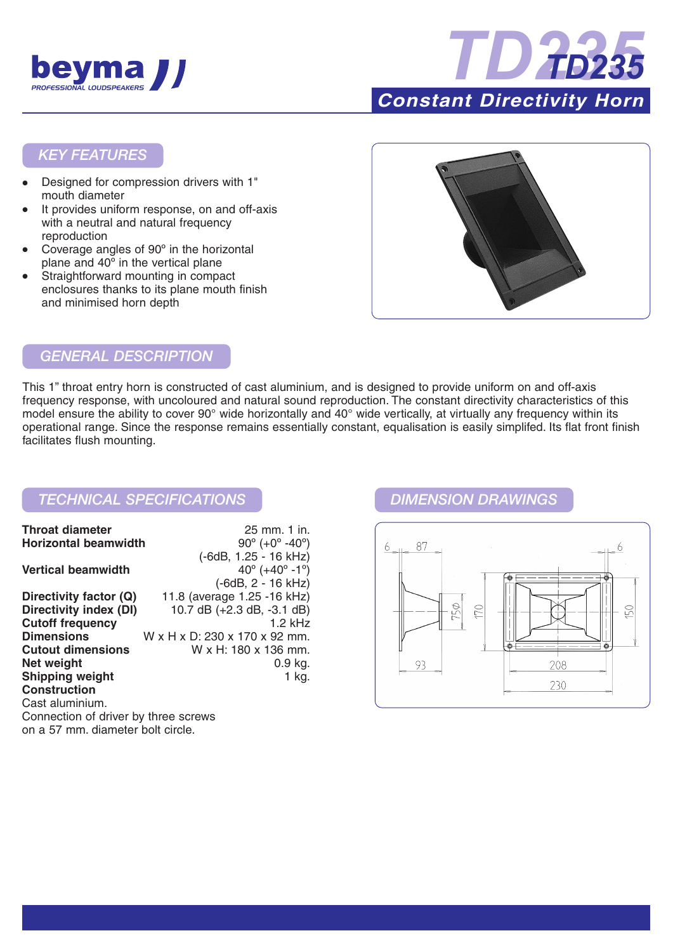



### *KEY FEATURES*

- Designed for compression drivers with 1" mouth diameter
- It provides uniform response, on and off-axis with a neutral and natural frequency reproduction
- Coverage angles of 90° in the horizontal plane and 40º in the vertical plane
- Straightforward mounting in compact enclosures thanks to its plane mouth finish and minimised horn depth



# *GENERAL DESCRIPTION*

This 1" throat entry horn is constructed of cast aluminium, and is designed to provide uniform on and off-axis frequency response, with uncoloured and natural sound reproduction. The constant directivity characteristics of this model ensure the ability to cover 90° wide horizontally and 40° wide vertically, at virtually any frequency within its operational range. Since the response remains essentially constant, equalisation is easily simplifed. Its flat front finish facilitates flush mounting.

## *TECHNICAL SPECIFICATIONS DIMENSION DRAWINGS*

| <b>Throat diameter</b>               | 25 mm. 1 in.                                 |
|--------------------------------------|----------------------------------------------|
| <b>Horizontal beamwidth</b>          | $90^{\circ}$ (+0 $^{\circ}$ -40 $^{\circ}$ ) |
|                                      | (-6dB, 1.25 - 16 kHz)                        |
| <b>Vertical beamwidth</b>            | $40^{\circ}$ (+40 $^{\circ}$ -1 $^{\circ}$ ) |
|                                      | $(-6dB, 2 - 16 kHz)$                         |
| Directivity factor (Q)               | 11.8 (average 1.25 -16 kHz)                  |
| Directivity index (DI)               | 10.7 dB $(+2.3$ dB, $-3.1$ dB)               |
| <b>Cutoff frequency</b>              | $1.2$ kHz                                    |
| <b>Dimensions</b>                    | W x H x D: 230 x 170 x 92 mm.                |
| <b>Cutout dimensions</b>             | W x H: 180 x 136 mm.                         |
| Net weight                           | 0.9 kg.                                      |
| <b>Shipping weight</b>               | 1 kg.                                        |
| <b>Construction</b>                  |                                              |
| Cast aluminium.                      |                                              |
| Connection of driver by three screws |                                              |
| on a 57 mm. diameter bolt circle.    |                                              |